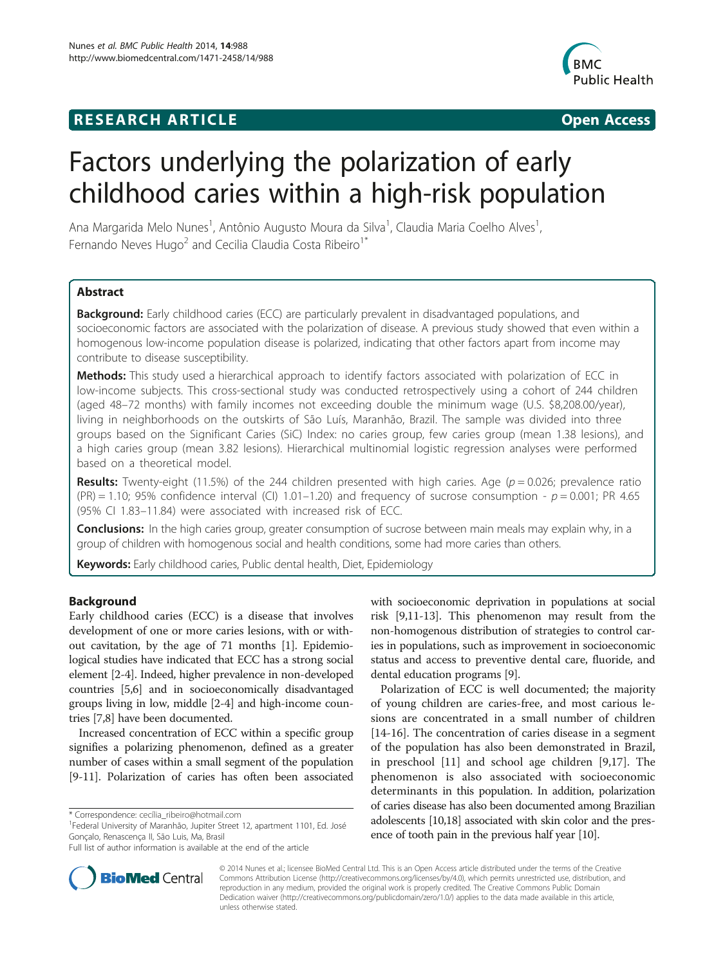## **RESEARCH ARTICLE Example 2014 CONSIDERING CONSIDERING CONSIDERING CONSIDERING CONSIDERING CONSIDERING CONSIDERING CONSIDERING CONSIDERING CONSIDERING CONSIDERING CONSIDERING CONSIDERING CONSIDERING CONSIDERING CONSIDE**



# Factors underlying the polarization of early childhood caries within a high-risk population

Ana Margarida Melo Nunes<sup>1</sup>, Antônio Augusto Moura da Silva<sup>1</sup>, Claudia Maria Coelho Alves<sup>1</sup> , Fernando Neves Hugo<sup>2</sup> and Cecilia Claudia Costa Ribeiro<sup>1\*</sup>

## Abstract

Background: Early childhood caries (ECC) are particularly prevalent in disadvantaged populations, and socioeconomic factors are associated with the polarization of disease. A previous study showed that even within a homogenous low-income population disease is polarized, indicating that other factors apart from income may contribute to disease susceptibility.

Methods: This study used a hierarchical approach to identify factors associated with polarization of ECC in low-income subjects. This cross-sectional study was conducted retrospectively using a cohort of 244 children (aged 48–72 months) with family incomes not exceeding double the minimum wage (U.S. \$8,208.00/year), living in neighborhoods on the outskirts of São Luís, Maranhão, Brazil. The sample was divided into three groups based on the Significant Caries (SiC) Index: no caries group, few caries group (mean 1.38 lesions), and a high caries group (mean 3.82 lesions). Hierarchical multinomial logistic regression analyses were performed based on a theoretical model.

**Results:** Twenty-eight (11.5%) of the 244 children presented with high caries. Age ( $p = 0.026$ ; prevalence ratio (PR) = 1.10; 95% confidence interval (CI) 1.01–1.20) and frequency of sucrose consumption -  $p = 0.001$ ; PR 4.65 (95% CI 1.83–11.84) were associated with increased risk of ECC.

Conclusions: In the high caries group, greater consumption of sucrose between main meals may explain why, in a group of children with homogenous social and health conditions, some had more caries than others.

Keywords: Early childhood caries, Public dental health, Diet, Epidemiology

## Background

Early childhood caries (ECC) is a disease that involves development of one or more caries lesions, with or without cavitation, by the age of 71 months [\[1](#page-7-0)]. Epidemiological studies have indicated that ECC has a strong social element [\[2](#page-7-0)-[4](#page-7-0)]. Indeed, higher prevalence in non-developed countries [\[5,6\]](#page-7-0) and in socioeconomically disadvantaged groups living in low, middle [\[2-4](#page-7-0)] and high-income countries [\[7,8](#page-7-0)] have been documented.

Increased concentration of ECC within a specific group signifies a polarizing phenomenon, defined as a greater number of cases within a small segment of the population [[9-11\]](#page-7-0). Polarization of caries has often been associated

<sup>1</sup>Federal University of Maranhão, Jupiter Street 12, apartment 1101, Ed. José Gonçalo, Renascença II, São Luis, Ma, Brasil

with socioeconomic deprivation in populations at social risk [\[9,11-13\]](#page-7-0). This phenomenon may result from the non-homogenous distribution of strategies to control caries in populations, such as improvement in socioeconomic status and access to preventive dental care, fluoride, and dental education programs [[9](#page-7-0)].

Polarization of ECC is well documented; the majority of young children are caries-free, and most carious lesions are concentrated in a small number of children [[14-16](#page-7-0)]. The concentration of caries disease in a segment of the population has also been demonstrated in Brazil, in preschool [\[11](#page-7-0)] and school age children [\[9,17](#page-7-0)]. The phenomenon is also associated with socioeconomic determinants in this population. In addition, polarization of caries disease has also been documented among Brazilian adolescents [\[10,18](#page-7-0)] associated with skin color and the presence of tooth pain in the previous half year [\[10\]](#page-7-0).



© 2014 Nunes et al.; licensee BioMed Central Ltd. This is an Open Access article distributed under the terms of the Creative Commons Attribution License [\(http://creativecommons.org/licenses/by/4.0\)](http://creativecommons.org/licenses/by/4.0), which permits unrestricted use, distribution, and reproduction in any medium, provided the original work is properly credited. The Creative Commons Public Domain Dedication waiver [\(http://creativecommons.org/publicdomain/zero/1.0/](http://creativecommons.org/publicdomain/zero/1.0/)) applies to the data made available in this article, unless otherwise stated.

<sup>\*</sup> Correspondence: [cecília\\_ribeiro@hotmail.com](mailto:cec�lia_ribeiro@hotmail.com) <sup>1</sup>

Full list of author information is available at the end of the article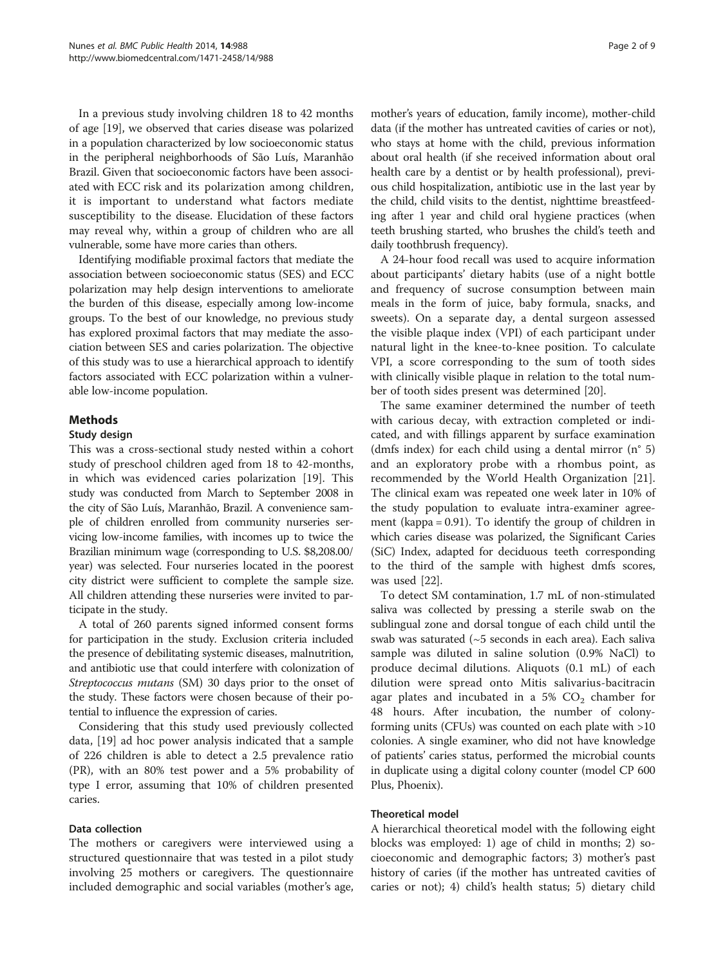In a previous study involving children 18 to 42 months of age [\[19](#page-7-0)], we observed that caries disease was polarized in a population characterized by low socioeconomic status in the peripheral neighborhoods of São Luís, Maranhão Brazil. Given that socioeconomic factors have been associated with ECC risk and its polarization among children, it is important to understand what factors mediate susceptibility to the disease. Elucidation of these factors may reveal why, within a group of children who are all vulnerable, some have more caries than others.

Identifying modifiable proximal factors that mediate the association between socioeconomic status (SES) and ECC polarization may help design interventions to ameliorate the burden of this disease, especially among low-income groups. To the best of our knowledge, no previous study has explored proximal factors that may mediate the association between SES and caries polarization. The objective of this study was to use a hierarchical approach to identify factors associated with ECC polarization within a vulnerable low-income population.

## Methods

#### Study design

This was a cross-sectional study nested within a cohort study of preschool children aged from 18 to 42-months, in which was evidenced caries polarization [[19\]](#page-7-0). This study was conducted from March to September 2008 in the city of São Luís, Maranhão, Brazil. A convenience sample of children enrolled from community nurseries servicing low-income families, with incomes up to twice the Brazilian minimum wage (corresponding to U.S. \$8,208.00/ year) was selected. Four nurseries located in the poorest city district were sufficient to complete the sample size. All children attending these nurseries were invited to participate in the study.

A total of 260 parents signed informed consent forms for participation in the study. Exclusion criteria included the presence of debilitating systemic diseases, malnutrition, and antibiotic use that could interfere with colonization of Streptococcus mutans (SM) 30 days prior to the onset of the study. These factors were chosen because of their potential to influence the expression of caries.

Considering that this study used previously collected data, [[19\]](#page-7-0) ad hoc power analysis indicated that a sample of 226 children is able to detect a 2.5 prevalence ratio (PR), with an 80% test power and a 5% probability of type I error, assuming that 10% of children presented caries.

#### Data collection

The mothers or caregivers were interviewed using a structured questionnaire that was tested in a pilot study involving 25 mothers or caregivers. The questionnaire included demographic and social variables (mother's age,

mother's years of education, family income), mother-child data (if the mother has untreated cavities of caries or not), who stays at home with the child, previous information about oral health (if she received information about oral health care by a dentist or by health professional), previous child hospitalization, antibiotic use in the last year by the child, child visits to the dentist, nighttime breastfeeding after 1 year and child oral hygiene practices (when teeth brushing started, who brushes the child's teeth and daily toothbrush frequency).

A 24-hour food recall was used to acquire information about participants' dietary habits (use of a night bottle and frequency of sucrose consumption between main meals in the form of juice, baby formula, snacks, and sweets). On a separate day, a dental surgeon assessed the visible plaque index (VPI) of each participant under natural light in the knee-to-knee position. To calculate VPI, a score corresponding to the sum of tooth sides with clinically visible plaque in relation to the total number of tooth sides present was determined [\[20\]](#page-7-0).

The same examiner determined the number of teeth with carious decay, with extraction completed or indicated, and with fillings apparent by surface examination (dmfs index) for each child using a dental mirror (n° 5) and an exploratory probe with a rhombus point, as recommended by the World Health Organization [\[21](#page-7-0)]. The clinical exam was repeated one week later in 10% of the study population to evaluate intra-examiner agreement (kappa = 0.91). To identify the group of children in which caries disease was polarized, the Significant Caries (SiC) Index, adapted for deciduous teeth corresponding to the third of the sample with highest dmfs scores, was used [[22](#page-7-0)].

To detect SM contamination, 1.7 mL of non-stimulated saliva was collected by pressing a sterile swab on the sublingual zone and dorsal tongue of each child until the swab was saturated (~5 seconds in each area). Each saliva sample was diluted in saline solution (0.9% NaCl) to produce decimal dilutions. Aliquots (0.1 mL) of each dilution were spread onto Mitis salivarius-bacitracin agar plates and incubated in a 5%  $CO<sub>2</sub>$  chamber for 48 hours. After incubation, the number of colonyforming units (CFUs) was counted on each plate with >10 colonies. A single examiner, who did not have knowledge of patients' caries status, performed the microbial counts in duplicate using a digital colony counter (model CP 600 Plus, Phoenix).

### Theoretical model

A hierarchical theoretical model with the following eight blocks was employed: 1) age of child in months; 2) socioeconomic and demographic factors; 3) mother's past history of caries (if the mother has untreated cavities of caries or not); 4) child's health status; 5) dietary child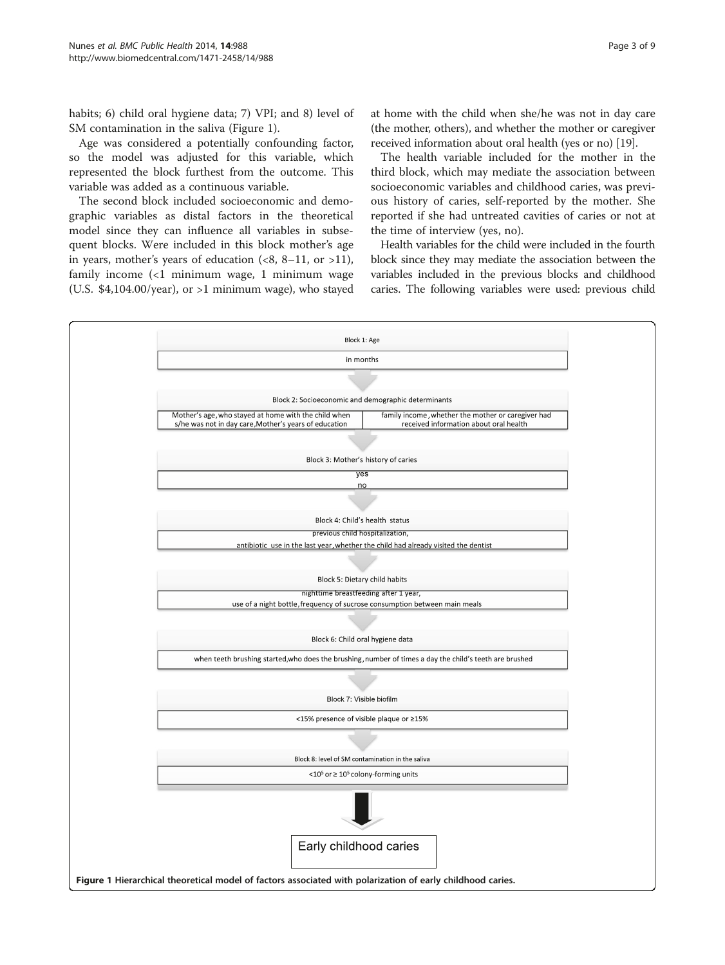habits; 6) child oral hygiene data; 7) VPI; and 8) level of SM contamination in the saliva (Figure 1).

Age was considered a potentially confounding factor, so the model was adjusted for this variable, which represented the block furthest from the outcome. This variable was added as a continuous variable.

The second block included socioeconomic and demographic variables as distal factors in the theoretical model since they can influence all variables in subsequent blocks. Were included in this block mother's age in years, mother's years of education  $(\langle 8, 8-11, 0r \rangle >11)$ , family income (<1 minimum wage, 1 minimum wage (U.S.  $$4,104.00/year$ ), or >1 minimum wage), who stayed at home with the child when she/he was not in day care (the mother, others), and whether the mother or caregiver received information about oral health (yes or no) [\[19](#page-7-0)].

The health variable included for the mother in the third block, which may mediate the association between socioeconomic variables and childhood caries, was previous history of caries, self-reported by the mother. She reported if she had untreated cavities of caries or not at the time of interview (yes, no).

Health variables for the child were included in the fourth block since they may mediate the association between the variables included in the previous blocks and childhood caries. The following variables were used: previous child

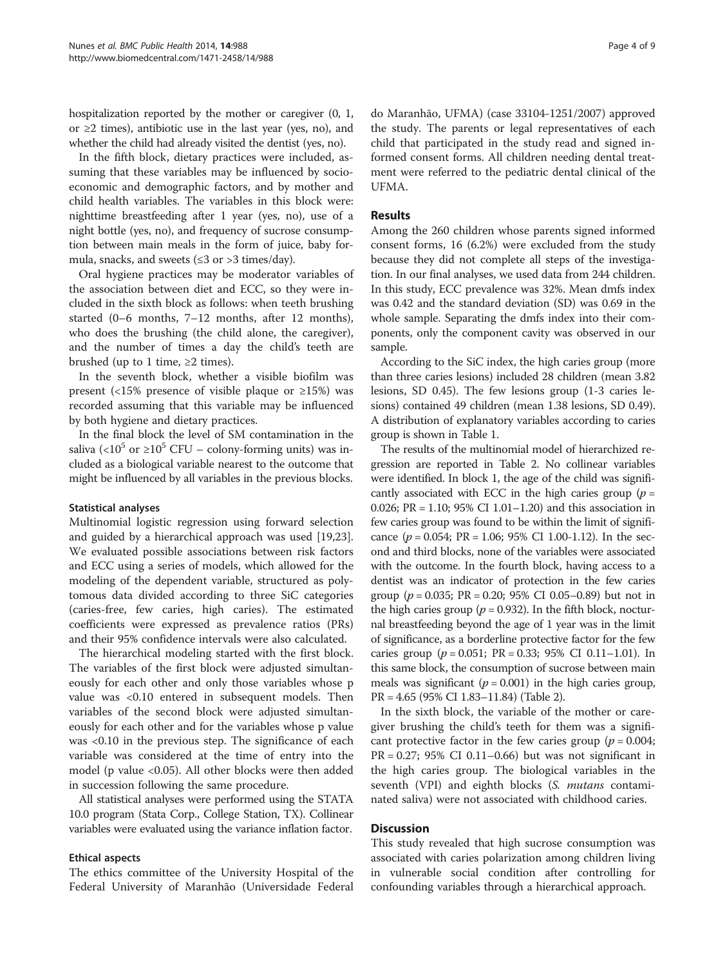hospitalization reported by the mother or caregiver (0, 1, or ≥2 times), antibiotic use in the last year (yes, no), and whether the child had already visited the dentist (yes, no).

In the fifth block, dietary practices were included, assuming that these variables may be influenced by socioeconomic and demographic factors, and by mother and child health variables. The variables in this block were: nighttime breastfeeding after 1 year (yes, no), use of a night bottle (yes, no), and frequency of sucrose consumption between main meals in the form of juice, baby formula, snacks, and sweets ( $\leq$ 3 or >3 times/day).

Oral hygiene practices may be moderator variables of the association between diet and ECC, so they were included in the sixth block as follows: when teeth brushing started (0–6 months, 7–12 months, after 12 months), who does the brushing (the child alone, the caregiver), and the number of times a day the child's teeth are brushed (up to 1 time,  $\geq 2$  times).

In the seventh block, whether a visible biofilm was present (<15% presence of visible plaque or  $\geq$ 15%) was recorded assuming that this variable may be influenced by both hygiene and dietary practices.

In the final block the level of SM contamination in the saliva (<10<sup>5</sup> or ≥10<sup>5</sup> CFU – colony-forming units) was included as a biological variable nearest to the outcome that might be influenced by all variables in the previous blocks.

#### Statistical analyses

Multinomial logistic regression using forward selection and guided by a hierarchical approach was used [\[19,23](#page-7-0)]. We evaluated possible associations between risk factors and ECC using a series of models, which allowed for the modeling of the dependent variable, structured as polytomous data divided according to three SiC categories (caries-free, few caries, high caries). The estimated coefficients were expressed as prevalence ratios (PRs) and their 95% confidence intervals were also calculated.

The hierarchical modeling started with the first block. The variables of the first block were adjusted simultaneously for each other and only those variables whose p value was <0.10 entered in subsequent models. Then variables of the second block were adjusted simultaneously for each other and for the variables whose p value was <0.10 in the previous step. The significance of each variable was considered at the time of entry into the model (p value <0.05). All other blocks were then added in succession following the same procedure.

All statistical analyses were performed using the STATA 10.0 program (Stata Corp., College Station, TX). Collinear variables were evaluated using the variance inflation factor.

#### Ethical aspects

The ethics committee of the University Hospital of the Federal University of Maranhão (Universidade Federal

do Maranhão, UFMA) (case 33104-1251/2007) approved the study. The parents or legal representatives of each child that participated in the study read and signed informed consent forms. All children needing dental treatment were referred to the pediatric dental clinical of the UFMA.

## Results

Among the 260 children whose parents signed informed consent forms, 16 (6.2%) were excluded from the study because they did not complete all steps of the investigation. In our final analyses, we used data from 244 children. In this study, ECC prevalence was 32%. Mean dmfs index was 0.42 and the standard deviation (SD) was 0.69 in the whole sample. Separating the dmfs index into their components, only the component cavity was observed in our sample.

According to the SiC index, the high caries group (more than three caries lesions) included 28 children (mean 3.82 lesions, SD 0.45). The few lesions group (1-3 caries lesions) contained 49 children (mean 1.38 lesions, SD 0.49). A distribution of explanatory variables according to caries group is shown in Table [1](#page-4-0).

The results of the multinomial model of hierarchized regression are reported in Table [2](#page-6-0). No collinear variables were identified. In block 1, the age of the child was significantly associated with ECC in the high caries group ( $p =$ 0.026; PR = 1.10; 95% CI 1.01–1.20) and this association in few caries group was found to be within the limit of significance ( $p = 0.054$ ; PR = 1.06; 95% CI 1.00-1.12). In the second and third blocks, none of the variables were associated with the outcome. In the fourth block, having access to a dentist was an indicator of protection in the few caries group ( $p = 0.035$ ; PR = 0.20; 95% CI 0.05–0.89) but not in the high caries group ( $p = 0.932$ ). In the fifth block, nocturnal breastfeeding beyond the age of 1 year was in the limit of significance, as a borderline protective factor for the few caries group ( $p = 0.051$ ; PR = 0.33; 95% CI 0.11–1.01). In this same block, the consumption of sucrose between main meals was significant ( $p = 0.001$ ) in the high caries group, PR = 4.65 (95% CI 1.83–11.84) (Table [2](#page-6-0)).

In the sixth block, the variable of the mother or caregiver brushing the child's teeth for them was a significant protective factor in the few caries group ( $p = 0.004$ ;  $PR = 0.27$ ; 95% CI 0.11–0.66) but was not significant in the high caries group. The biological variables in the seventh (VPI) and eighth blocks (S. mutans contaminated saliva) were not associated with childhood caries.

#### **Discussion**

This study revealed that high sucrose consumption was associated with caries polarization among children living in vulnerable social condition after controlling for confounding variables through a hierarchical approach.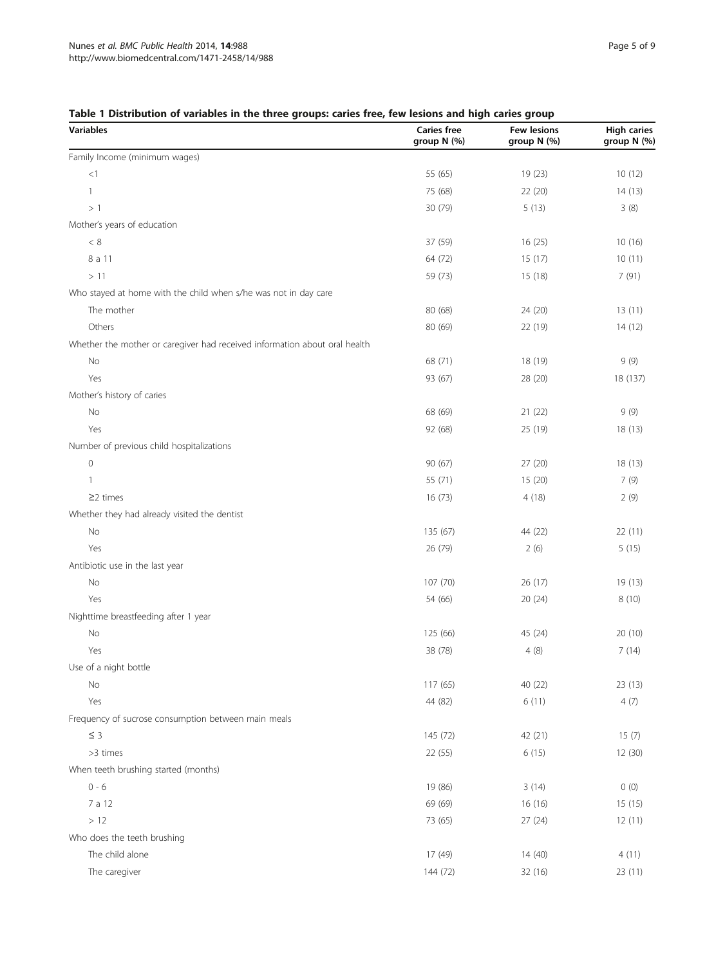## <span id="page-4-0"></span>Table 1 Distribution of variables in the three groups: caries free, few lesions and high caries group

| Variables                                                                  | <b>Caries free</b><br>group N (%) | <b>Few lesions</b><br>group N (%) | <b>High caries</b><br>group N (%) |
|----------------------------------------------------------------------------|-----------------------------------|-----------------------------------|-----------------------------------|
| Family Income (minimum wages)                                              |                                   |                                   |                                   |
| <1                                                                         | 55 (65)                           | 19 (23)                           | 10(12)                            |
| $\mathbf{1}$                                                               | 75 (68)                           | 22 (20)                           | 14(13)                            |
| >1                                                                         | 30 (79)                           | 5(13)                             | 3(8)                              |
| Mother's years of education                                                |                                   |                                   |                                   |
| < 8                                                                        | 37 (59)                           | 16(25)                            | 10(16)                            |
| 8 a 11                                                                     | 64 (72)                           | 15(17)                            | 10(11)                            |
| >11                                                                        | 59 (73)                           | 15 (18)                           | 7(91)                             |
| Who stayed at home with the child when s/he was not in day care            |                                   |                                   |                                   |
| The mother                                                                 | 80(68)                            | 24 (20)                           | 13(11)                            |
| Others                                                                     | 80 (69)                           | 22 (19)                           | 14(12)                            |
| Whether the mother or caregiver had received information about oral health |                                   |                                   |                                   |
| No                                                                         | 68 (71)                           | 18 (19)                           | 9(9)                              |
| Yes                                                                        | 93 (67)                           | 28 (20)                           | 18 (137)                          |
| Mother's history of caries                                                 |                                   |                                   |                                   |
| No                                                                         | 68 (69)                           | 21(22)                            | 9(9)                              |
| Yes                                                                        | 92 (68)                           | 25 (19)                           | 18(13)                            |
| Number of previous child hospitalizations                                  |                                   |                                   |                                   |
| $\circ$                                                                    | 90(67)                            | 27(20)                            | 18 (13)                           |
| 1                                                                          | 55 (71)                           | 15(20)                            | 7(9)                              |
| $\geq$ 2 times                                                             | 16(73)                            | 4(18)                             | 2(9)                              |
| Whether they had already visited the dentist                               |                                   |                                   |                                   |
| No                                                                         | 135 (67)                          | 44 (22)                           | 22(11)                            |
| Yes                                                                        | 26 (79)                           | 2(6)                              | 5(15)                             |
| Antibiotic use in the last year                                            |                                   |                                   |                                   |
| No                                                                         | 107(70)                           | 26(17)                            | 19(13)                            |
| Yes                                                                        | 54 (66)                           | 20(24)                            | 8(10)                             |
| Nighttime breastfeeding after 1 year                                       |                                   |                                   |                                   |
| No                                                                         | 125 (66)                          | 45 (24)                           | 20(10)                            |
| Yes                                                                        | 38 (78)                           | 4(8)                              | 7(14)                             |
| Use of a night bottle                                                      |                                   |                                   |                                   |
| No                                                                         | 117(65)                           | 40 (22)                           | 23 (13)                           |
| Yes                                                                        | 44 (82)                           | 6(11)                             | 4(7)                              |
| Frequency of sucrose consumption between main meals                        |                                   |                                   |                                   |
| $\leq$ 3                                                                   | 145 (72)                          | 42 (21)                           | 15(7)                             |
| >3 times                                                                   | 22(55)                            | 6(15)                             | 12 (30)                           |
| When teeth brushing started (months)                                       |                                   |                                   |                                   |
| $0 - 6$                                                                    | 19 (86)                           | 3(14)                             | 0(0)                              |
| 7 a 12                                                                     | 69 (69)                           | 16 (16)                           | 15(15)                            |
| $>12$                                                                      | 73 (65)                           | 27(24)                            | 12(11)                            |
| Who does the teeth brushing                                                |                                   |                                   |                                   |
| The child alone                                                            | 17 (49)                           | 14(40)                            | 4(11)                             |
| The caregiver                                                              | 144 (72)                          | 32 (16)                           | 23 (11)                           |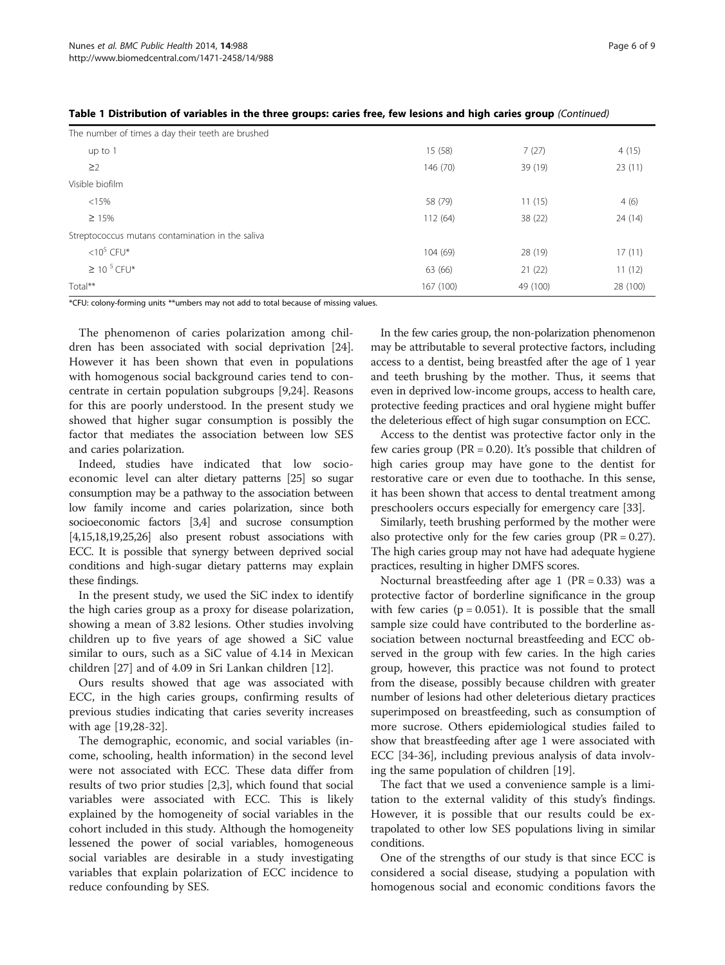| The number of times a day their teeth are brushed |           |          |          |
|---------------------------------------------------|-----------|----------|----------|
| up to 1                                           | 15(58)    | 7(27)    | 4(15)    |
| $\geq$ 2                                          | 146 (70)  | 39 (19)  | 23(11)   |
| Visible biofilm                                   |           |          |          |
| < 15%                                             | 58 (79)   | 11(15)   | 4(6)     |
| $\geq 15\%$                                       | 112 (64)  | 38 (22)  | 24(14)   |
| Streptococcus mutans contamination in the saliva  |           |          |          |
| $<$ 10 <sup>5</sup> CFU*                          | 104 (69)  | 28 (19)  | 17(11)   |
| $\geq 10^{-5}$ CFU*                               | 63 (66)   | 21(22)   | 11(12)   |
| Total**                                           | 167 (100) | 49 (100) | 28 (100) |

| Table 1 Distribution of variables in the three groups: caries free, few lesions and high caries group (Continued) |  |  |
|-------------------------------------------------------------------------------------------------------------------|--|--|
|-------------------------------------------------------------------------------------------------------------------|--|--|

\*CFU: colony-forming units \*\*umbers may not add to total because of missing values.

The phenomenon of caries polarization among children has been associated with social deprivation [\[24](#page-7-0)]. However it has been shown that even in populations with homogenous social background caries tend to concentrate in certain population subgroups [[9,24\]](#page-7-0). Reasons for this are poorly understood. In the present study we showed that higher sugar consumption is possibly the factor that mediates the association between low SES and caries polarization.

Indeed, studies have indicated that low socioeconomic level can alter dietary patterns [[25](#page-7-0)] so sugar consumption may be a pathway to the association between low family income and caries polarization, since both socioeconomic factors [[3,4\]](#page-7-0) and sucrose consumption [[4,15,18,19,25,26](#page-7-0)] also present robust associations with ECC. It is possible that synergy between deprived social conditions and high-sugar dietary patterns may explain these findings.

In the present study, we used the SiC index to identify the high caries group as a proxy for disease polarization, showing a mean of 3.82 lesions. Other studies involving children up to five years of age showed a SiC value similar to ours, such as a SiC value of 4.14 in Mexican children [\[27](#page-7-0)] and of 4.09 in Sri Lankan children [[12\]](#page-7-0).

Ours results showed that age was associated with ECC, in the high caries groups, confirming results of previous studies indicating that caries severity increases with age [\[19](#page-7-0)[,28-32](#page-8-0)].

The demographic, economic, and social variables (income, schooling, health information) in the second level were not associated with ECC. These data differ from results of two prior studies [[2,3\]](#page-7-0), which found that social variables were associated with ECC. This is likely explained by the homogeneity of social variables in the cohort included in this study. Although the homogeneity lessened the power of social variables, homogeneous social variables are desirable in a study investigating variables that explain polarization of ECC incidence to reduce confounding by SES.

In the few caries group, the non-polarization phenomenon may be attributable to several protective factors, including access to a dentist, being breastfed after the age of 1 year and teeth brushing by the mother. Thus, it seems that even in deprived low-income groups, access to health care, protective feeding practices and oral hygiene might buffer the deleterious effect of high sugar consumption on ECC.

Access to the dentist was protective factor only in the few caries group ( $PR = 0.20$ ). It's possible that children of high caries group may have gone to the dentist for restorative care or even due to toothache. In this sense, it has been shown that access to dental treatment among preschoolers occurs especially for emergency care [[33\]](#page-8-0).

Similarly, teeth brushing performed by the mother were also protective only for the few caries group  $(PR = 0.27)$ . The high caries group may not have had adequate hygiene practices, resulting in higher DMFS scores.

Nocturnal breastfeeding after age 1 ( $PR = 0.33$ ) was a protective factor of borderline significance in the group with few caries  $(p = 0.051)$ . It is possible that the small sample size could have contributed to the borderline association between nocturnal breastfeeding and ECC observed in the group with few caries. In the high caries group, however, this practice was not found to protect from the disease, possibly because children with greater number of lesions had other deleterious dietary practices superimposed on breastfeeding, such as consumption of more sucrose. Others epidemiological studies failed to show that breastfeeding after age 1 were associated with ECC [\[34](#page-8-0)-[36\]](#page-8-0), including previous analysis of data involving the same population of children [\[19](#page-7-0)].

The fact that we used a convenience sample is a limitation to the external validity of this study's findings. However, it is possible that our results could be extrapolated to other low SES populations living in similar conditions.

One of the strengths of our study is that since ECC is considered a social disease, studying a population with homogenous social and economic conditions favors the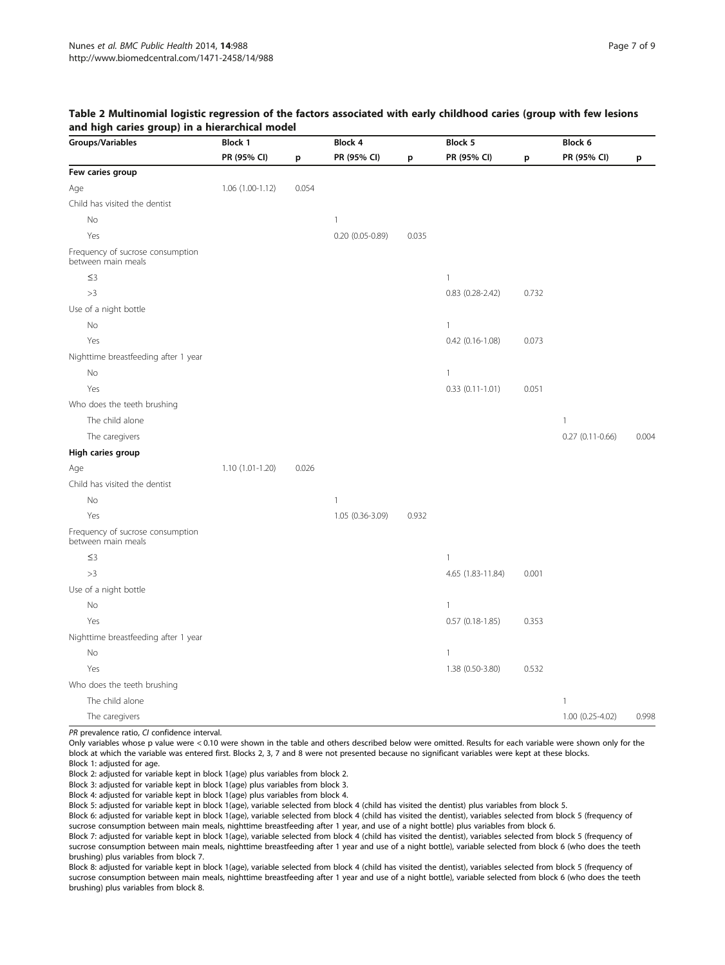<span id="page-6-0"></span>

| Table 2 Multinomial logistic regression of the factors associated with early childhood caries (group with few lesions |  |  |
|-----------------------------------------------------------------------------------------------------------------------|--|--|
| and high caries group) in a hierarchical model                                                                        |  |  |

| Groups/Variables                                       | <b>Block 1</b>    |       | Block 4            |       | Block 5           |       | Block 6           |       |
|--------------------------------------------------------|-------------------|-------|--------------------|-------|-------------------|-------|-------------------|-------|
|                                                        | PR (95% CI)       | p     | PR (95% CI)        | p     | PR (95% CI)       | p     | PR (95% CI)       | p     |
| Few caries group                                       |                   |       |                    |       |                   |       |                   |       |
| Age                                                    | $1.06(1.00-1.12)$ | 0.054 |                    |       |                   |       |                   |       |
| Child has visited the dentist                          |                   |       |                    |       |                   |       |                   |       |
| No                                                     |                   |       | $\mathbf{1}$       |       |                   |       |                   |       |
| Yes                                                    |                   |       | $0.20$ (0.05-0.89) | 0.035 |                   |       |                   |       |
| Frequency of sucrose consumption<br>between main meals |                   |       |                    |       |                   |       |                   |       |
| $\leq$ 3                                               |                   |       |                    |       | $\mathbf{1}$      |       |                   |       |
| >3                                                     |                   |       |                    |       | $0.83(0.28-2.42)$ | 0.732 |                   |       |
| Use of a night bottle                                  |                   |       |                    |       |                   |       |                   |       |
| No                                                     |                   |       |                    |       | $\mathbf{1}$      |       |                   |       |
| Yes                                                    |                   |       |                    |       | $0.42(0.16-1.08)$ | 0.073 |                   |       |
| Nighttime breastfeeding after 1 year                   |                   |       |                    |       |                   |       |                   |       |
| No                                                     |                   |       |                    |       | $\mathbf{1}$      |       |                   |       |
| Yes                                                    |                   |       |                    |       | $0.33(0.11-1.01)$ | 0.051 |                   |       |
| Who does the teeth brushing                            |                   |       |                    |       |                   |       |                   |       |
| The child alone                                        |                   |       |                    |       |                   |       | 1                 |       |
| The caregivers                                         |                   |       |                    |       |                   |       | $0.27(0.11-0.66)$ | 0.004 |
| High caries group                                      |                   |       |                    |       |                   |       |                   |       |
| Age                                                    | $1.10(1.01-1.20)$ | 0.026 |                    |       |                   |       |                   |       |
| Child has visited the dentist                          |                   |       |                    |       |                   |       |                   |       |
| No                                                     |                   |       | 1                  |       |                   |       |                   |       |
| Yes                                                    |                   |       | 1.05 (0.36-3.09)   | 0.932 |                   |       |                   |       |
| Frequency of sucrose consumption<br>between main meals |                   |       |                    |       |                   |       |                   |       |
| $\leq$ 3                                               |                   |       |                    |       | $\mathbf{1}$      |       |                   |       |
| >3                                                     |                   |       |                    |       | 4.65 (1.83-11.84) | 0.001 |                   |       |
| Use of a night bottle                                  |                   |       |                    |       |                   |       |                   |       |
| No                                                     |                   |       |                    |       | $\mathbf{1}$      |       |                   |       |
| Yes                                                    |                   |       |                    |       | $0.57(0.18-1.85)$ | 0.353 |                   |       |
| Nighttime breastfeeding after 1 year                   |                   |       |                    |       |                   |       |                   |       |
| No                                                     |                   |       |                    |       | $\mathbf{1}$      |       |                   |       |
| Yes                                                    |                   |       |                    |       | 1.38 (0.50-3.80)  | 0.532 |                   |       |
| Who does the teeth brushing                            |                   |       |                    |       |                   |       |                   |       |
| The child alone                                        |                   |       |                    |       |                   |       | 1                 |       |
| The caregivers                                         |                   |       |                    |       |                   |       | 1.00 (0.25-4.02)  | 0.998 |

PR prevalence ratio, CI confidence interval.

Only variables whose p value were < 0.10 were shown in the table and others described below were omitted. Results for each variable were shown only for the block at which the variable was entered first. Blocks 2, 3, 7 and 8 were not presented because no significant variables were kept at these blocks.

Block 1: adjusted for age.

Block 2: adjusted for variable kept in block 1(age) plus variables from block 2.

Block 3: adjusted for variable kept in block 1(age) plus variables from block 3.

Block 4: adjusted for variable kept in block 1(age) plus variables from block 4.

Block 5: adjusted for variable kept in block 1(age), variable selected from block 4 (child has visited the dentist) plus variables from block 5.

Block 6: adjusted for variable kept in block 1(age), variable selected from block 4 (child has visited the dentist), variables selected from block 5 (frequency of sucrose consumption between main meals, nighttime breastfeeding after 1 year, and use of a night bottle) plus variables from block 6.

Block 7: adjusted for variable kept in block 1(age), variable selected from block 4 (child has visited the dentist), variables selected from block 5 (frequency of sucrose consumption between main meals, nighttime breastfeeding after 1 year and use of a night bottle), variable selected from block 6 (who does the teeth brushing) plus variables from block 7.

Block 8: adjusted for variable kept in block 1(age), variable selected from block 4 (child has visited the dentist), variables selected from block 5 (frequency of sucrose consumption between main meals, nighttime breastfeeding after 1 year and use of a night bottle), variable selected from block 6 (who does the teeth brushing) plus variables from block 8.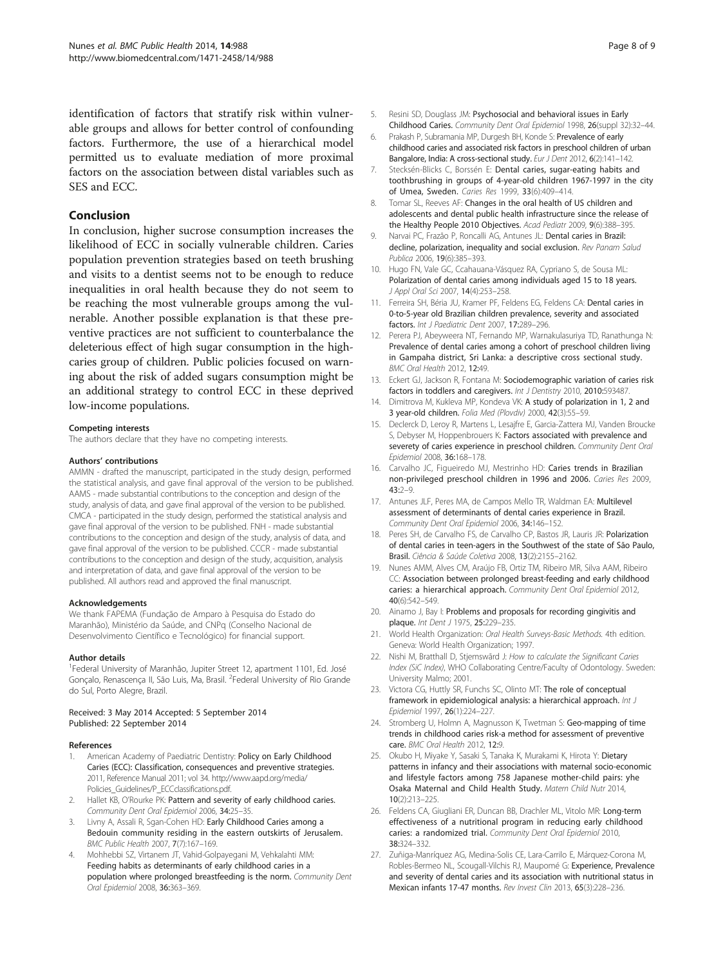<span id="page-7-0"></span>identification of factors that stratify risk within vulnerable groups and allows for better control of confounding factors. Furthermore, the use of a hierarchical model permitted us to evaluate mediation of more proximal factors on the association between distal variables such as SES and ECC.

## Conclusion

In conclusion, higher sucrose consumption increases the likelihood of ECC in socially vulnerable children. Caries population prevention strategies based on teeth brushing and visits to a dentist seems not to be enough to reduce inequalities in oral health because they do not seem to be reaching the most vulnerable groups among the vulnerable. Another possible explanation is that these preventive practices are not sufficient to counterbalance the deleterious effect of high sugar consumption in the highcaries group of children. Public policies focused on warning about the risk of added sugars consumption might be an additional strategy to control ECC in these deprived low-income populations.

#### Competing interests

The authors declare that they have no competing interests.

#### Authors' contributions

AMMN - drafted the manuscript, participated in the study design, performed the statistical analysis, and gave final approval of the version to be published. AAMS - made substantial contributions to the conception and design of the study, analysis of data, and gave final approval of the version to be published. CMCA - participated in the study design, performed the statistical analysis and gave final approval of the version to be published. FNH - made substantial contributions to the conception and design of the study, analysis of data, and gave final approval of the version to be published. CCCR - made substantial contributions to the conception and design of the study, acquisition, analysis and interpretation of data, and gave final approval of the version to be published. All authors read and approved the final manuscript.

#### Acknowledgements

We thank FAPEMA (Fundação de Amparo à Pesquisa do Estado do Maranhão), Ministério da Saúde, and CNPq (Conselho Nacional de Desenvolvimento Científico e Tecnológico) for financial support.

#### Author details

<sup>1</sup>Federal University of Maranhão, Jupiter Street 12, apartment 1101, Ed. José Gonçalo, Renascença II, São Luis, Ma, Brasil. <sup>2</sup>Federal University of Rio Grande do Sul, Porto Alegre, Brazil.

#### Received: 3 May 2014 Accepted: 5 September 2014 Published: 22 September 2014

#### References

- American Academy of Paediatric Dentistry: Policy on Early Childhood Caries (ECC): Classification, consequences and preventive strategies. 2011, Reference Manual 2011; vol 34. [http://www.aapd.org/media/](http://www.aapd.org/media/Policies_Guidelines/P_ECCclassifications.pdf) [Policies\\_Guidelines/P\\_ECCclassifications.pdf](http://www.aapd.org/media/Policies_Guidelines/P_ECCclassifications.pdf).
- 2. Hallet KB, O'Rourke PK: Pattern and severity of early childhood caries. Community Dent Oral Epidemiol 2006, 34:25–35.
- 3. Livny A, Assali R, Sgan-Cohen HD: Early Childhood Caries among a Bedouin community residing in the eastern outskirts of Jerusalem. BMC Public Health 2007, 7(7):167–169.
- 4. Mohhebbi SZ, Virtanem JT, Vahid-Golpayegani M, Vehkalahti MM: Feeding habits as determinants of early childhood caries in a population where prolonged breastfeeding is the norm. Community Dent Oral Epidemiol 2008, 36:363–369.
- Resini SD, Douglass JM: Psychosocial and behavioral issues in Early Childhood Caries. Community Dent Oral Epidemiol 1998, 26(suppl 32):32–44.
- 6. Prakash P, Subramania MP, Durgesh BH, Konde S: Prevalence of early childhood caries and associated risk factors in preschool children of urban Bangalore, India: A cross-sectional study. Eur J Dent 2012, 6(2):141-142.
- 7. Stecksén-Blicks C, Borssén E: Dental caries, sugar-eating habits and toothbrushing in groups of 4-year-old children 1967-1997 in the city of Umea, Sweden. Caries Res 1999, 33(6):409–414.
- 8. Tomar SL, Reeves AF: Changes in the oral health of US children and adolescents and dental public health infrastructure since the release of the Healthy People 2010 Objectives. Acad Pediatr 2009, 9(6):388-395.
- 9. Narvai PC, Frazão P, Roncalli AG, Antunes JL: Dental caries in Brazil: decline, polarization, inequality and social exclusion. Rev Panam Salud Publica 2006, 19(6):385–393.
- 10. Hugo FN, Vale GC, Ccahauana-Vásquez RA, Cypriano S, de Sousa ML: Polarization of dental caries among individuals aged 15 to 18 years. J Appl Oral Sci 2007, 14(4):253–258.
- 11. Ferreira SH, Béria JU, Kramer PF, Feldens EG, Feldens CA: Dental caries in 0-to-5-year old Brazilian children prevalence, severity and associated factors. Int J Paediatric Dent 2007, 17:289–296.
- 12. Perera PJ, Abeyweera NT, Fernando MP, Warnakulasuriya TD, Ranathunga N: Prevalence of dental caries among a cohort of preschool children living in Gampaha district, Sri Lanka: a descriptive cross sectional study. BMC Oral Health 2012, 12:49.
- 13. Eckert GJ, Jackson R, Fontana M: Sociodemographic variation of caries risk factors in toddlers and caregivers. Int J Dentistry 2010, 2010:593487.
- 14. Dimitrova M, Kukleva MP, Kondeva VK: A study of polarization in 1, 2 and 3 year-old children. Folia Med (Plovdiv) 2000, 42(3):55–59.
- 15. Declerck D, Leroy R, Martens L, Lesajfre E, Garcia-Zattera MJ, Vanden Broucke S, Debyser M, Hoppenbrouers K: Factors associated with prevalence and severety of caries experience in preschool children. Community Dent Oral Epidemiol 2008, 36:168–178.
- 16. Carvalho JC, Figueiredo MJ, Mestrinho HD: Caries trends in Brazilian non-privileged preschool children in 1996 and 2006. Caries Res 2009,  $43.2 - 9$
- 17. Antunes JLF, Peres MA, de Campos Mello TR, Waldman EA: Multilevel assessment of determinants of dental caries experience in Brazil. Community Dent Oral Epidemiol 2006, 34:146–152.
- 18. Peres SH, de Carvalho FS, de Carvalho CP, Bastos JR, Lauris JR: Polarization of dental caries in teen-agers in the Southwest of the state of São Paulo, Brasil. Ciência & Saúde Coletiva 2008, 13(2):2155–2162.
- 19. Nunes AMM, Alves CM, Araújo FB, Ortiz TM, Ribeiro MR, Silva AAM, Ribeiro CC: Association between prolonged breast-feeding and early childhood caries: a hierarchical approach. Community Dent Oral Epidemiol 2012, 40(6):542–549.
- 20. Ainamo J, Bay I: Problems and proposals for recording gingivitis and plaque. Int Dent J 1975, 25:229-235.
- 21. World Health Organization: Oral Health Surveys-Basic Methods. 4th edition. Geneva: World Health Organization; 1997.
- 22. Nishi M, Bratthall D, Stjemswãrd J: How to calculate the Significant Caries Index (SiC Index), WHO Collaborating Centre/Faculty of Odontology. Sweden: University Malmo; 2001.
- 23. Victora CG, Huttly SR, Funchs SC, Olinto MT: The role of conceptual framework in epidemiological analysis: a hierarchical approach. Int J Epidemiol 1997, 26(1):224–227.
- 24. Stromberg U, Holmn A, Magnusson K, Twetman S: Geo-mapping of time trends in childhood caries risk-a method for assessment of preventive care. BMC Oral Health 2012, 12:9.
- 25. Okubo H, Miyake Y, Sasaki S, Tanaka K, Murakami K, Hirota Y: Dietary patterns in infancy and their associations with maternal socio-economic and lifestyle factors among 758 Japanese mother-child pairs: yhe Osaka Maternal and Child Health Study. Matern Child Nutr 2014, 10(2):213–225.
- 26. Feldens CA, Giugliani ER, Duncan BB, Drachler ML, Vitolo MR: Long-term effectiveness of a nutritional program in reducing early childhood caries: a randomized trial. Community Dent Oral Epidemiol 2010, 38:324–332.
- 27. Zuñiga-Manríquez AG, Medina-Solis CE, Lara-Carrilo E, Márquez-Corona M, Robles-Bermeo NL, Scougall-Vilchis RJ, Maupomé G: Experience, Prevalence and severity of dental caries and its association with nutritional status in Mexican infants 17-47 months. Rev Invest Clin 2013, 65(3):228–236.